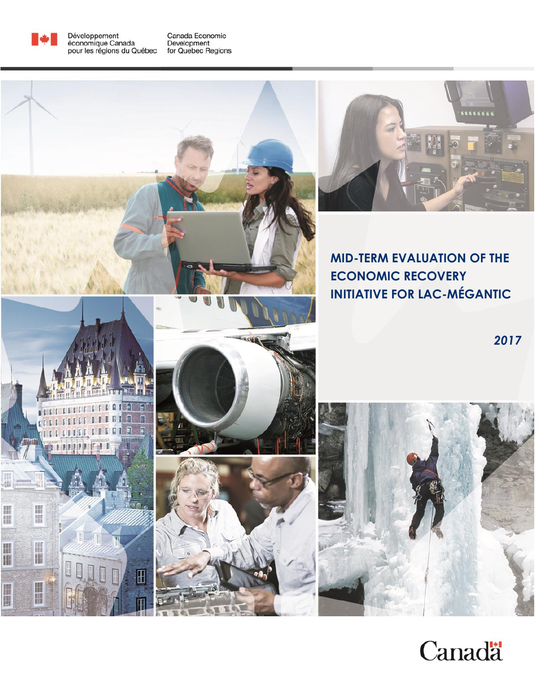

Développement<br>économique Canada<br>pour les régions du Québec

Canada Economic<br>Development<br>for Quebec Regions



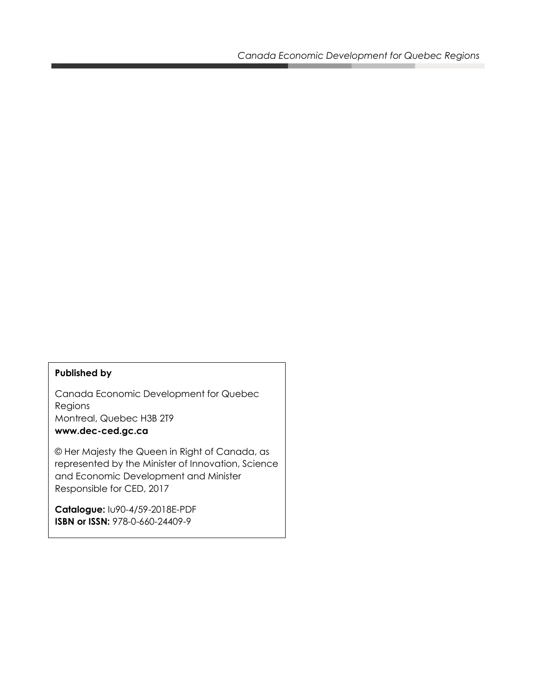#### **Published by**

Canada Economic Development for Quebec Regions Montreal, Quebec H3B 2T9 **www.dec-ced.gc.ca**

© Her Majesty the Queen in Right of Canada, as represented by the Minister of Innovation, Science and Economic Development and Minister Responsible for CED, 2017

**Catalogue:** Iu90-4/59-2018E-PDF **ISBN or ISSN:** 978-0-660-24409-9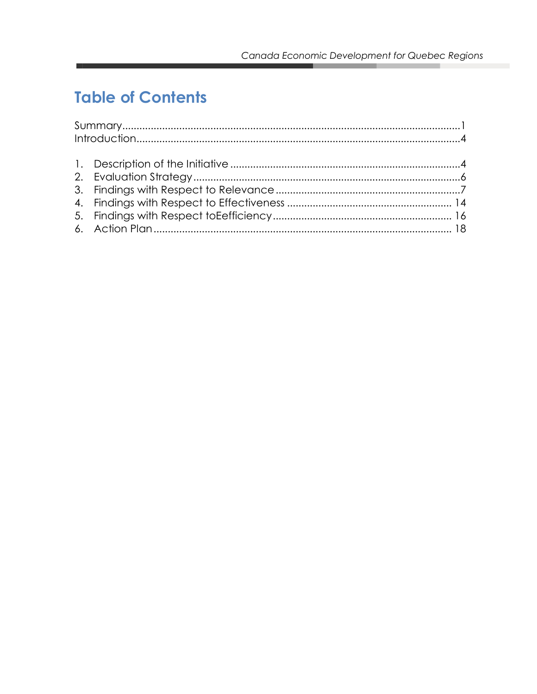# **Table of Contents**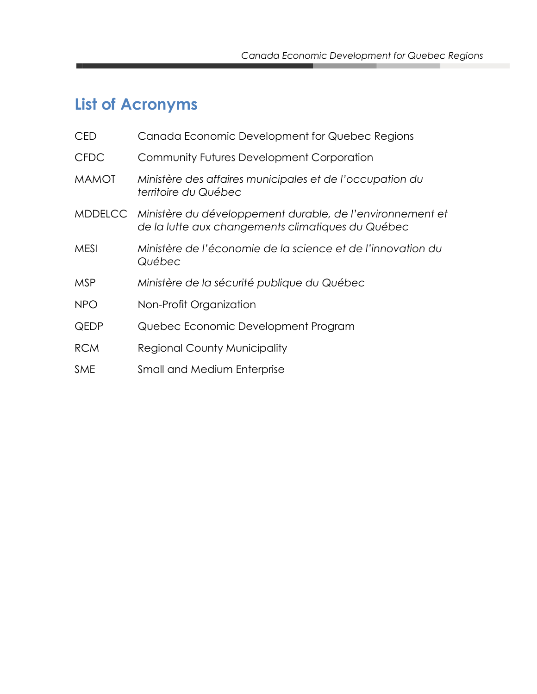# <span id="page-3-0"></span>**List of Acronyms**

| <b>CED</b>   | Canada Economic Development for Quebec Regions                                                                         |
|--------------|------------------------------------------------------------------------------------------------------------------------|
| <b>CFDC</b>  | Community Futures Development Corporation                                                                              |
| <b>MAMOT</b> | Ministère des affaires municipales et de l'occupation du<br>territoire du Québec                                       |
|              | MDDELCC Ministère du développement durable, de l'environnement et<br>de la lutte aux changements climatiques du Québec |
| <b>MESI</b>  | Ministère de l'économie de la science et de l'innovation du<br>Québec                                                  |
| <b>MSP</b>   | Ministère de la sécurité publique du Québec                                                                            |
| <b>NPO</b>   | Non-Profit Organization                                                                                                |
| <b>QEDP</b>  | Quebec Economic Development Program                                                                                    |
| <b>RCM</b>   | <b>Regional County Municipality</b>                                                                                    |
| <b>SME</b>   | <b>Small and Medium Enterprise</b>                                                                                     |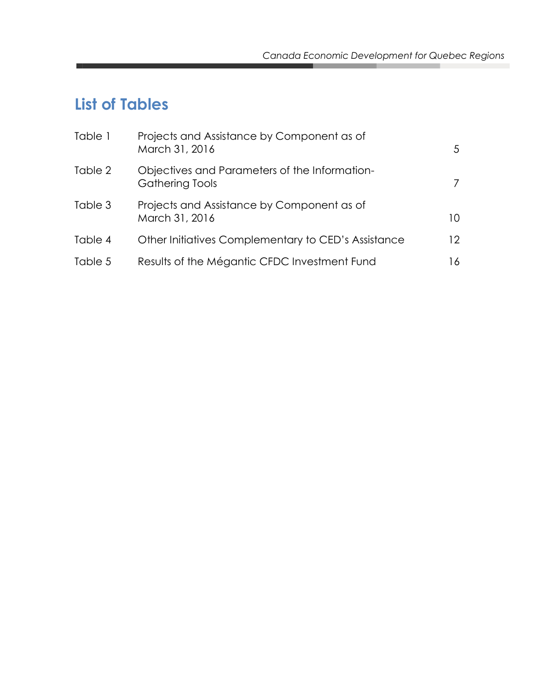# **List of Tables**

| Table 1 | Projects and Assistance by Component as of<br>March 31, 2016            | 5               |
|---------|-------------------------------------------------------------------------|-----------------|
| Table 2 | Objectives and Parameters of the Information-<br><b>Gathering Tools</b> | 7               |
| Table 3 | Projects and Assistance by Component as of<br>March 31, 2016            | 10              |
| Table 4 | Other Initiatives Complementary to CED's Assistance                     | 12 <sup>2</sup> |
| Table 5 | Results of the Mégantic CFDC Investment Fund                            | 16              |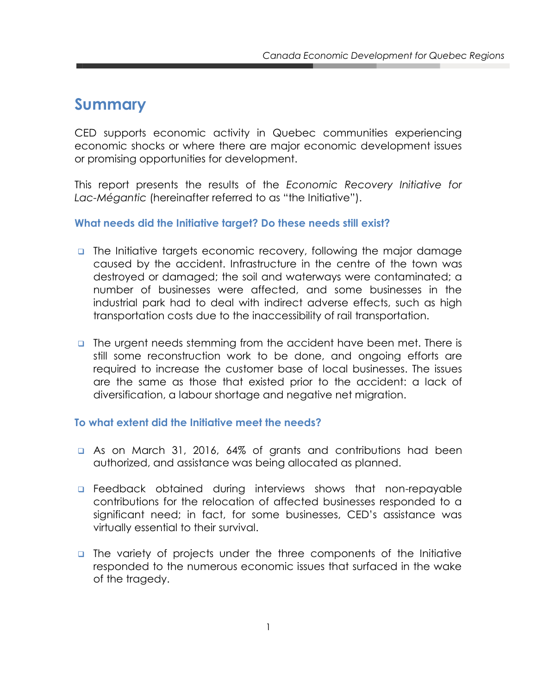### **Summary**

CED supports economic activity in Quebec communities experiencing economic shocks or where there are major economic development issues or promising opportunities for development.

This report presents the results of the *Economic Recovery Initiative for Lac-Mégantic* (hereinafter referred to as "the Initiative").

#### **What needs did the Initiative target? Do these needs still exist?**

- The Initiative targets economic recovery, following the major damage caused by the accident. Infrastructure in the centre of the town was destroyed or damaged; the soil and waterways were contaminated; a number of businesses were affected, and some businesses in the industrial park had to deal with indirect adverse effects, such as high transportation costs due to the inaccessibility of rail transportation.
- **The urgent needs stemming from the accident have been met. There is** still some reconstruction work to be done, and ongoing efforts are required to increase the customer base of local businesses. The issues are the same as those that existed prior to the accident: a lack of diversification, a labour shortage and negative net migration.

#### **To what extent did the Initiative meet the needs?**

- As on March 31, 2016, 64% of grants and contributions had been authorized, and assistance was being allocated as planned.
- **Example 2** Feedback obtained during interviews shows that non-repayable contributions for the relocation of affected businesses responded to a significant need; in fact, for some businesses, CED's assistance was virtually essential to their survival.
- The variety of projects under the three components of the Initiative responded to the numerous economic issues that surfaced in the wake of the tragedy.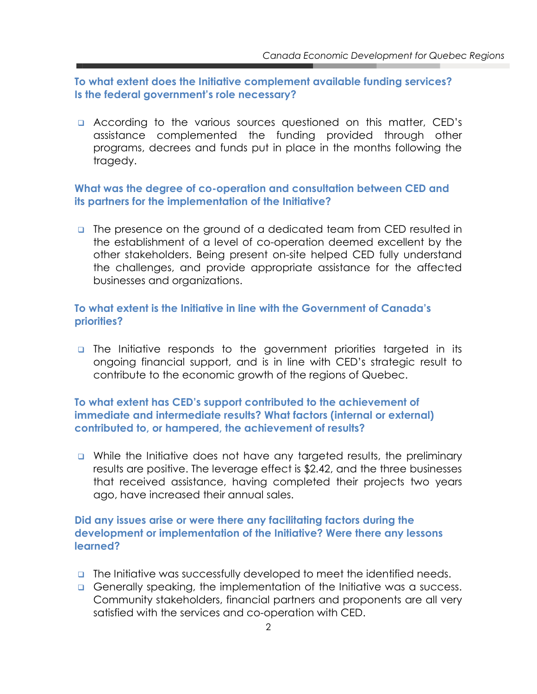**To what extent does the Initiative complement available funding services? Is the federal government's role necessary?** 

**E** According to the various sources questioned on this matter, CED's assistance complemented the funding provided through other programs, decrees and funds put in place in the months following the tragedy.

#### **What was the degree of co-operation and consultation between CED and its partners for the implementation of the Initiative?**

 The presence on the ground of a dedicated team from CED resulted in the establishment of a level of co-operation deemed excellent by the other stakeholders. Being present on-site helped CED fully understand the challenges, and provide appropriate assistance for the affected businesses and organizations.

#### **To what extent is the Initiative in line with the Government of Canada's priorities?**

**n** The Initiative responds to the government priorities targeted in its ongoing financial support, and is in line with CED's strategic result to contribute to the economic growth of the regions of Quebec.

#### **To what extent has CED's support contributed to the achievement of immediate and intermediate results? What factors (internal or external) contributed to, or hampered, the achievement of results?**

 While the Initiative does not have any targeted results, the preliminary results are positive. The leverage effect is \$2.42, and the three businesses that received assistance, having completed their projects two years ago, have increased their annual sales.

#### **Did any issues arise or were there any facilitating factors during the development or implementation of the Initiative? Were there any lessons learned?**

- **The Initiative was successfully developed to meet the identified needs.**
- Generally speaking, the implementation of the Initiative was a success. Community stakeholders, financial partners and proponents are all very satisfied with the services and co-operation with CED.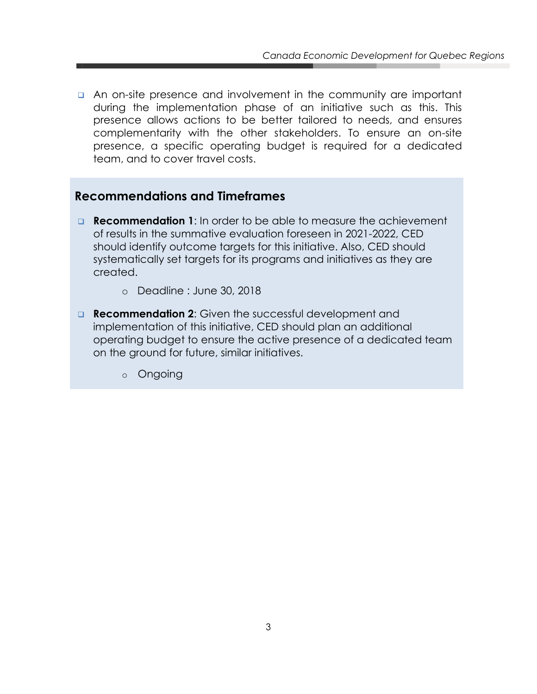**An on-site presence and involvement in the community are important** during the implementation phase of an initiative such as this. This presence allows actions to be better tailored to needs, and ensures complementarity with the other stakeholders. To ensure an on-site presence, a specific operating budget is required for a dedicated team, and to cover travel costs.

#### **Recommendations and Timeframes**

- **Recommendation 1**: In order to be able to measure the achievement of results in the summative evaluation foreseen in 2021-2022, CED should identify outcome targets for this initiative. Also, CED should systematically set targets for its programs and initiatives as they are created.
	- o Deadline : June 30, 2018
- **Recommendation 2:** Given the successful development and implementation of this initiative, CED should plan an additional operating budget to ensure the active presence of a dedicated team on the ground for future, similar initiatives.
	- o Ongoing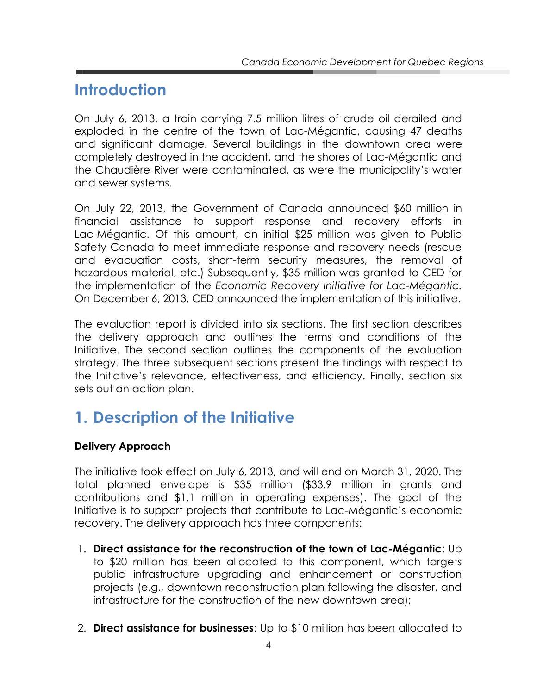### <span id="page-8-0"></span>**Introduction**

On July 6, 2013, a train carrying 7.5 million litres of crude oil derailed and exploded in the centre of the town of Lac-Mégantic, causing 47 deaths and significant damage. Several buildings in the downtown area were completely destroyed in the accident, and the shores of Lac-Mégantic and the Chaudière River were contaminated, as were the municipality's water and sewer systems.

On July 22, 2013, the Government of Canada announced \$60 million in financial assistance to support response and recovery efforts in Lac-Mégantic. Of this amount, an initial \$25 million was given to Public Safety Canada to meet immediate response and recovery needs (rescue and evacuation costs, short-term security measures, the removal of hazardous material, etc.) Subsequently, \$35 million was granted to CED for the implementation of the *Economic Recovery Initiative for Lac-Mégantic.*  On December 6, 2013, CED announced the implementation of this initiative.

The evaluation report is divided into six sections. The first section describes the delivery approach and outlines the terms and conditions of the Initiative. The second section outlines the components of the evaluation strategy. The three subsequent sections present the findings with respect to the Initiative's relevance, effectiveness, and efficiency. Finally, section six sets out an action plan.

# <span id="page-8-1"></span>**1. Description of the Initiative**

#### **Delivery Approach**

The initiative took effect on July 6, 2013, and will end on March 31, 2020. The total planned envelope is \$35 million (\$33.9 million in grants and contributions and \$1.1 million in operating expenses). The goal of the Initiative is to support projects that contribute to Lac-Mégantic's economic recovery. The delivery approach has three components:

- 1. **Direct assistance for the reconstruction of the town of Lac-Mégantic**: Up to \$20 million has been allocated to this component, which targets public infrastructure upgrading and enhancement or construction projects (e.g., downtown reconstruction plan following the disaster, and infrastructure for the construction of the new downtown area);
- 2. **Direct assistance for businesses**: Up to \$10 million has been allocated to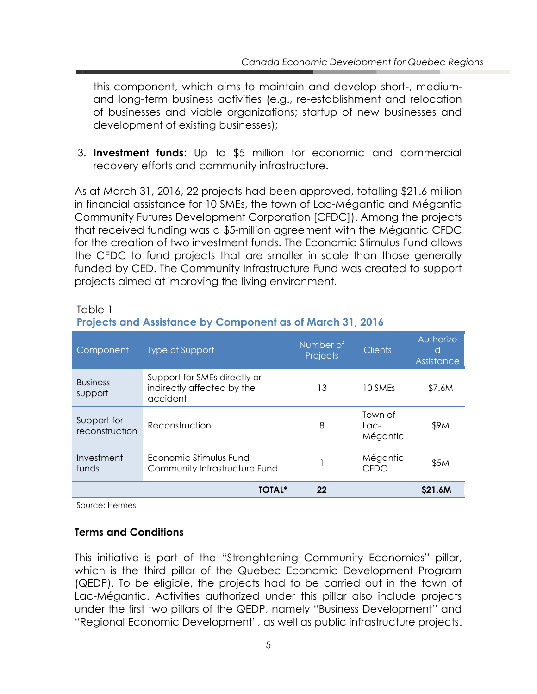this component, which aims to maintain and develop short-, mediumand long-term business activities (e.g., re-establishment and relocation of businesses and viable organizations; startup of new businesses and development of existing businesses);

3. **Investment funds**: Up to \$5 million for economic and commercial recovery efforts and community infrastructure.

As at March 31, 2016, 22 projects had been approved, totalling \$21.6 million in financial assistance for 10 SMEs, the town of Lac-Mégantic and Mégantic Community Futures Development Corporation [CFDC]). Among the projects that received funding was a \$5-million agreement with the Mégantic CFDC for the creation of two investment funds. The Economic Stimulus Fund allows the CFDC to fund projects that are smaller in scale than those generally funded by CED. The Community Infrastructure Fund was created to support projects aimed at improving the living environment.

Table 1

|  | <b>Projects and Assistance by Component as of March 31, 2016</b> |  |  |  |  |
|--|------------------------------------------------------------------|--|--|--|--|
|  |                                                                  |  |  |  |  |

| Component                     | Type of Support                                                        | Number of<br><b>Projects</b> | <b>Clients</b>                         | Authorize<br>d<br>Assistance |
|-------------------------------|------------------------------------------------------------------------|------------------------------|----------------------------------------|------------------------------|
| <b>Business</b><br>support    | Support for SMEs directly or<br>indirectly affected by the<br>accident | 13                           | 10 SMEs                                | \$7.6M                       |
| Support for<br>reconstruction | Reconstruction                                                         | 8                            | Town of<br>L <sub>OC</sub><br>Mégantic | \$9M                         |
| Investment<br>funds           | Economic Stimulus Fund<br>Community Infrastructure Fund                |                              | Mégantic<br><b>CFDC</b>                | \$5M                         |
|                               | <b>TOTAL*</b>                                                          | 22                           |                                        | \$21.6M                      |

Source: Hermes

#### **Terms and Conditions**

This initiative is part of the "Strenghtening Community Economies" pillar, which is the third pillar of the Quebec Economic Development Program (QEDP). To be eligible, the projects had to be carried out in the town of Lac-Mégantic. Activities authorized under this pillar also include projects under the first two pillars of the QEDP, namely "Business Development" and "Regional Economic Development", as well as public infrastructure projects.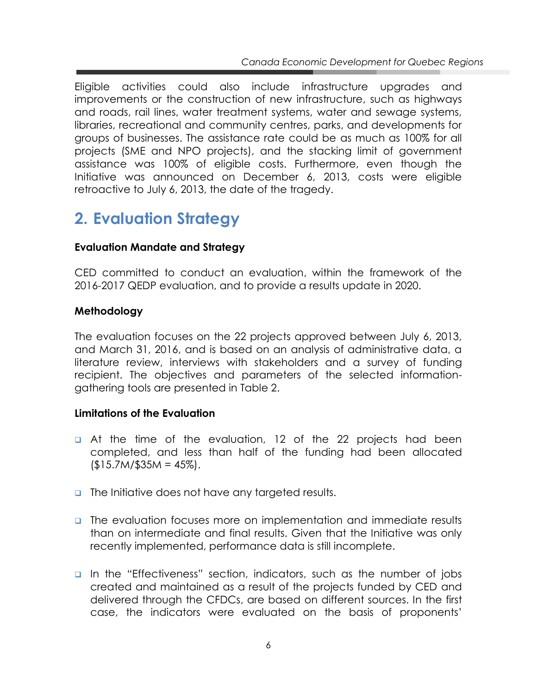Eligible activities could also include infrastructure upgrades and improvements or the construction of new infrastructure, such as highways and roads, rail lines, water treatment systems, water and sewage systems, libraries, recreational and community centres, parks, and developments for groups of businesses. The assistance rate could be as much as 100% for all projects (SME and NPO projects), and the stacking limit of government assistance was 100% of eligible costs. Furthermore, even though the Initiative was announced on December 6, 2013, costs were eligible retroactive to July 6, 2013, the date of the tragedy.

# <span id="page-10-0"></span>**2. Evaluation Strategy**

#### **Evaluation Mandate and Strategy**

CED committed to conduct an evaluation, within the framework of the 2016-2017 QEDP evaluation, and to provide a results update in 2020.

#### **Methodology**

The evaluation focuses on the 22 projects approved between July 6, 2013, and March 31, 2016, and is based on an analysis of administrative data, a literature review, interviews with stakeholders and a survey of funding recipient. The objectives and parameters of the selected informationgathering tools are presented in Table 2.

#### **Limitations of the Evaluation**

- **a** At the time of the evaluation, 12 of the 22 projects had been completed, and less than half of the funding had been allocated  $(15.7M/\$35M = 45\%).$
- **n** The Initiative does not have any targeted results.
- **The evaluation focuses more on implementation and immediate results** than on intermediate and final results. Given that the Initiative was only recently implemented, performance data is still incomplete.
- In the "Effectiveness" section, indicators, such as the number of jobs created and maintained as a result of the projects funded by CED and delivered through the CFDCs, are based on different sources. In the first case, the indicators were evaluated on the basis of proponents'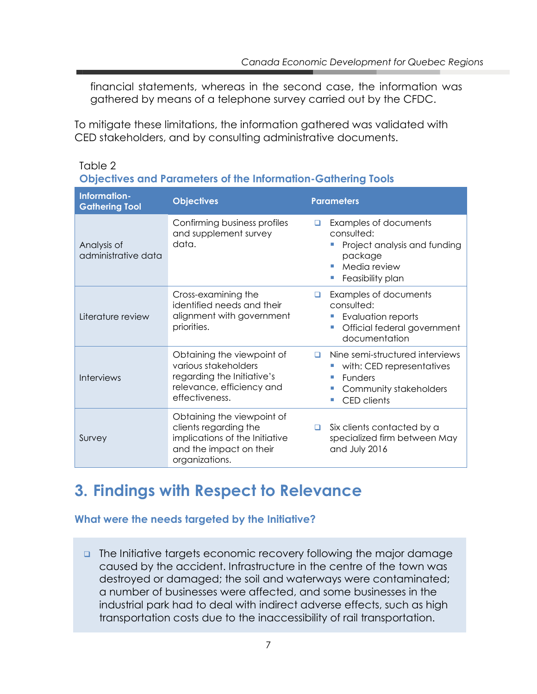financial statements, whereas in the second case, the information was gathered by means of a telephone survey carried out by the CFDC.

To mitigate these limitations, the information gathered was validated with CED stakeholders, and by consulting administrative documents.

| Objectives and Parameters of the Information-Gathering Tools |                                                                                                                                    |                                                                                                                                     |  |  |  |  |
|--------------------------------------------------------------|------------------------------------------------------------------------------------------------------------------------------------|-------------------------------------------------------------------------------------------------------------------------------------|--|--|--|--|
| Information-<br><b>Gathering Tool</b>                        | <b>Objectives</b>                                                                                                                  | <b>Parameters</b>                                                                                                                   |  |  |  |  |
| Analysis of<br>administrative data                           | Confirming business profiles<br>and supplement survey<br>data.                                                                     | Examples of documents<br>□<br>consulted:<br>Project analysis and funding<br>package<br>Media review<br>Feasibility plan             |  |  |  |  |
| Literature review                                            | Cross-examining the<br>identified needs and their<br>alignment with government<br>priorities.                                      | Examples of documents<br>□<br>consulted:<br>Evaluation reports<br>Official federal government<br>documentation                      |  |  |  |  |
| <b>Interviews</b>                                            | Obtaining the viewpoint of<br>various stakeholders<br>regarding the Initiative's<br>relevance, efficiency and<br>effectiveness.    | Nine semi-structured interviews<br>п<br>with: CED representatives<br><b>Funders</b><br>Community stakeholders<br><b>CED</b> clients |  |  |  |  |
| Survey                                                       | Obtaining the viewpoint of<br>clients regarding the<br>implications of the Initiative<br>and the impact on their<br>organizations. | Six clients contacted by a<br>□<br>specialized firm between May<br>and July 2016                                                    |  |  |  |  |

#### Table 2 **Objectives and Parameters of the Information-Gathering Tools**

### <span id="page-11-0"></span>**3. Findings with Respect to Relevance**

#### **What were the needs targeted by the Initiative?**

**n** The Initiative targets economic recovery following the major damage caused by the accident. Infrastructure in the centre of the town was destroyed or damaged; the soil and waterways were contaminated; a number of businesses were affected, and some businesses in the industrial park had to deal with indirect adverse effects, such as high transportation costs due to the inaccessibility of rail transportation.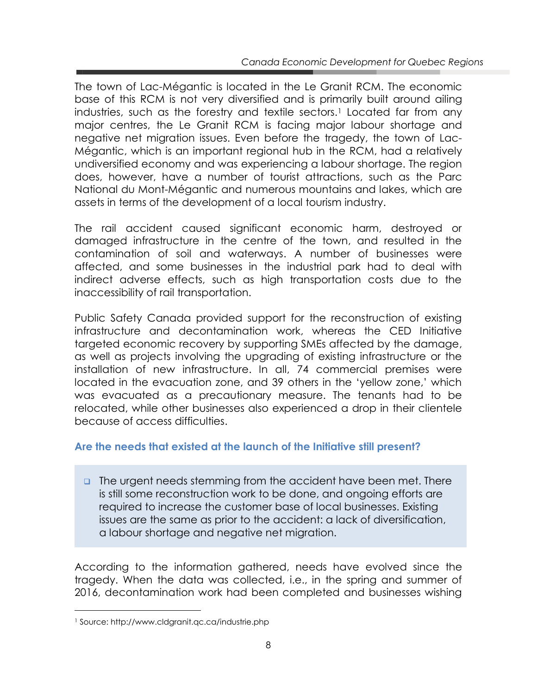The town of Lac-Mégantic is located in the Le Granit RCM. The economic base of this RCM is not very diversified and is primarily built around ailing industries, such as the forestry and textile sectors.<sup>1</sup> Located far from any major centres, the Le Granit RCM is facing major labour shortage and negative net migration issues. Even before the tragedy, the town of Lac-Mégantic, which is an important regional hub in the RCM, had a relatively undiversified economy and was experiencing a labour shortage. The region does, however, have a number of tourist attractions, such as the Parc National du Mont-Mégantic and numerous mountains and lakes, which are assets in terms of the development of a local tourism industry.

The rail accident caused significant economic harm, destroyed or damaged infrastructure in the centre of the town, and resulted in the contamination of soil and waterways. A number of businesses were affected, and some businesses in the industrial park had to deal with indirect adverse effects, such as high transportation costs due to the inaccessibility of rail transportation.

Public Safety Canada provided support for the reconstruction of existing infrastructure and decontamination work, whereas the CED Initiative targeted economic recovery by supporting SMEs affected by the damage, as well as projects involving the upgrading of existing infrastructure or the installation of new infrastructure. In all, 74 commercial premises were located in the evacuation zone, and 39 others in the 'yellow zone,' which was evacuated as a precautionary measure. The tenants had to be relocated, while other businesses also experienced a drop in their clientele because of access difficulties.

#### **Are the needs that existed at the launch of the Initiative still present?**

**The urgent needs stemming from the accident have been met. There** is still some reconstruction work to be done, and ongoing efforts are required to increase the customer base of local businesses. Existing issues are the same as prior to the accident: a lack of diversification, a labour shortage and negative net migration.

According to the information gathered, needs have evolved since the tragedy. When the data was collected, i.e., in the spring and summer of 2016, decontamination work had been completed and businesses wishing

 $\overline{a}$ 

<sup>1</sup> Source: http://www.cldgranit.qc.ca/industrie.php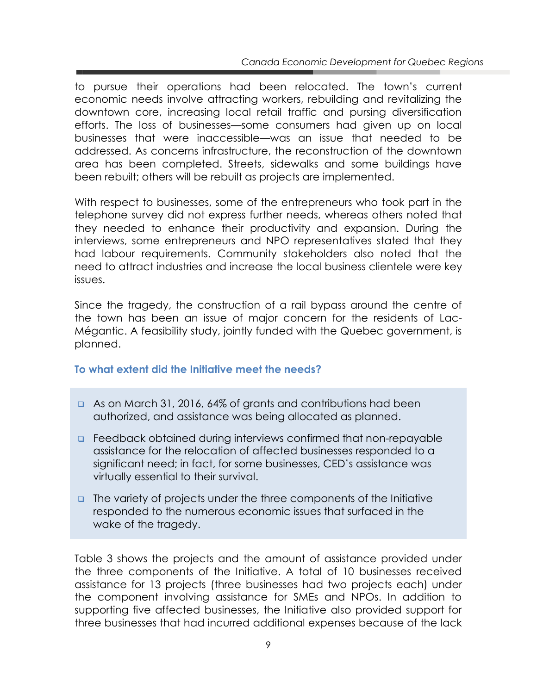to pursue their operations had been relocated. The town's current economic needs involve attracting workers, rebuilding and revitalizing the downtown core, increasing local retail traffic and pursing diversification efforts. The loss of businesses—some consumers had given up on local businesses that were inaccessible—was an issue that needed to be addressed. As concerns infrastructure, the reconstruction of the downtown area has been completed. Streets, sidewalks and some buildings have been rebuilt; others will be rebuilt as projects are implemented.

With respect to businesses, some of the entrepreneurs who took part in the telephone survey did not express further needs, whereas others noted that they needed to enhance their productivity and expansion. During the interviews, some entrepreneurs and NPO representatives stated that they had labour requirements. Community stakeholders also noted that the need to attract industries and increase the local business clientele were key issues.

Since the tragedy, the construction of a rail bypass around the centre of the town has been an issue of major concern for the residents of Lac-Mégantic. A feasibility study, jointly funded with the Quebec government, is planned.

#### **To what extent did the Initiative meet the needs?**

- **As on March 31, 2016, 64% of grants and contributions had been** authorized, and assistance was being allocated as planned.
- **EXECUTE:** Feedback obtained during interviews confirmed that non-repayable assistance for the relocation of affected businesses responded to a significant need; in fact, for some businesses, CED's assistance was virtually essential to their survival.
- **The variety of projects under the three components of the Initiative** responded to the numerous economic issues that surfaced in the wake of the tragedy.

Table 3 shows the projects and the amount of assistance provided under the three components of the Initiative. A total of 10 businesses received assistance for 13 projects (three businesses had two projects each) under the component involving assistance for SMEs and NPOs. In addition to supporting five affected businesses, the Initiative also provided support for three businesses that had incurred additional expenses because of the lack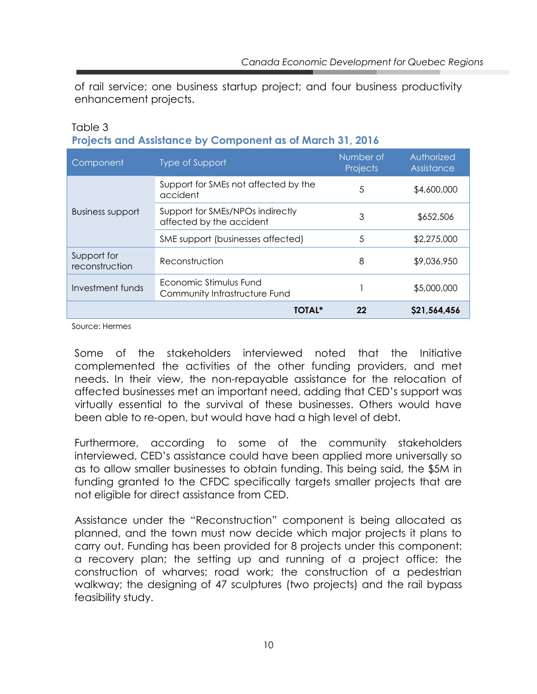of rail service; one business startup project; and four business productivity enhancement projects.

#### Table 3 **Projects and Assistance by Component as of March 31, 2016**

| Component                     | <b>Type of Support</b>                                       | Number of<br>Projects | Authorized<br>Assistance |
|-------------------------------|--------------------------------------------------------------|-----------------------|--------------------------|
|                               | Support for SMEs not affected by the<br>accident             | 5                     | \$4,600,000              |
| <b>Business support</b>       | Support for SMEs/NPOs indirectly<br>affected by the accident | 3                     | \$652,506                |
|                               | SME support (businesses affected)                            | 5                     | \$2,275,000              |
| Support for<br>reconstruction | Reconstruction                                               | 8                     | \$9,036,950              |
| Investment funds              | Economic Stimulus Fund<br>Community Infrastructure Fund      |                       | \$5,000,000              |
|                               | TOTAL*                                                       | 22                    | \$21,564,456             |

Source: Hermes

Some of the stakeholders interviewed noted that the Initiative complemented the activities of the other funding providers, and met needs. In their view, the non-repayable assistance for the relocation of affected businesses met an important need, adding that CED's support was virtually essential to the survival of these businesses. Others would have been able to re-open, but would have had a high level of debt.

Furthermore, according to some of the community stakeholders interviewed, CED's assistance could have been applied more universally so as to allow smaller businesses to obtain funding. This being said, the \$5M in funding granted to the CFDC specifically targets smaller projects that are not eligible for direct assistance from CED.

Assistance under the "Reconstruction" component is being allocated as planned, and the town must now decide which major projects it plans to carry out. Funding has been provided for 8 projects under this component: a recovery plan; the setting up and running of a project office; the construction of wharves; road work; the construction of a pedestrian walkway; the designing of 47 sculptures (two projects) and the rail bypass feasibility study.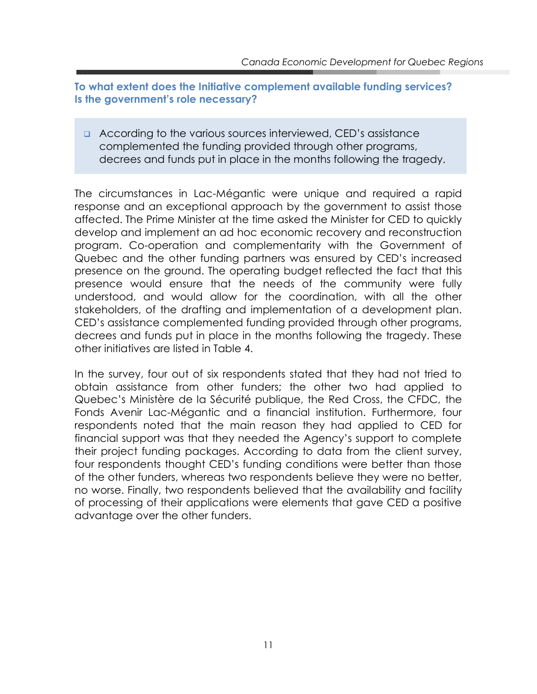**To what extent does the Initiative complement available funding services? Is the government's role necessary?** 

 According to the various sources interviewed, CED's assistance complemented the funding provided through other programs, decrees and funds put in place in the months following the tragedy.

The circumstances in Lac-Mégantic were unique and required a rapid response and an exceptional approach by the government to assist those affected. The Prime Minister at the time asked the Minister for CED to quickly develop and implement an ad hoc economic recovery and reconstruction program. Co-operation and complementarity with the Government of Quebec and the other funding partners was ensured by CED's increased presence on the ground. The operating budget reflected the fact that this presence would ensure that the needs of the community were fully understood, and would allow for the coordination, with all the other stakeholders, of the drafting and implementation of a development plan. CED's assistance complemented funding provided through other programs, decrees and funds put in place in the months following the tragedy. These other initiatives are listed in Table 4.

In the survey, four out of six respondents stated that they had not tried to obtain assistance from other funders; the other two had applied to Quebec's Ministère de la Sécurité publique, the Red Cross, the CFDC, the Fonds Avenir Lac-Mégantic and a financial institution. Furthermore, four respondents noted that the main reason they had applied to CED for financial support was that they needed the Agency's support to complete their project funding packages. According to data from the client survey, four respondents thought CED's funding conditions were better than those of the other funders, whereas two respondents believe they were no better, no worse. Finally, two respondents believed that the availability and facility of processing of their applications were elements that gave CED a positive advantage over the other funders.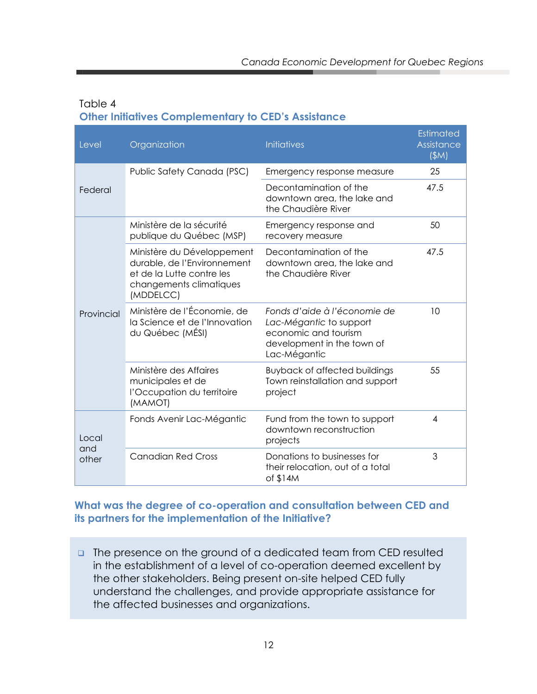#### Table 4 **Other Initiatives Complementary to CED's Assistance**

| Level        | Organization                                                                                                                   | <b>Initiatives</b>                                                                                                            | <b>Estimated</b><br>Assistance<br>(SM) |
|--------------|--------------------------------------------------------------------------------------------------------------------------------|-------------------------------------------------------------------------------------------------------------------------------|----------------------------------------|
|              | Public Safety Canada (PSC)                                                                                                     | Emergency response measure                                                                                                    | 25                                     |
| Federal      |                                                                                                                                | Decontamination of the<br>downtown area, the lake and<br>the Chaudière River                                                  | 47.5                                   |
|              | Ministère de la sécurité<br>publique du Québec (MSP)                                                                           | Emergency response and<br>recovery measure                                                                                    | 50                                     |
|              | Ministère du Développement<br>durable, de l'Environnement<br>et de la Lutte contre les<br>changements climatiques<br>(MDDELCC) | Decontamination of the<br>downtown area, the lake and<br>the Chaudière River                                                  | 47.5                                   |
| Provincial   | Ministère de l'Économie, de<br>la Science et de l'Innovation<br>du Québec (MÉSI)                                               | Fonds d'aide à l'économie de<br>Lac-Mégantic to support<br>economic and tourism<br>development in the town of<br>Lac-Mégantic | 10                                     |
|              | Ministère des Affaires<br>municipales et de<br>l'Occupation du territoire<br>(MAMOT)                                           | <b>Buyback of affected buildings</b><br>Town reinstallation and support<br>project                                            | 55                                     |
| Local<br>and | Fonds Avenir Lac-Mégantic                                                                                                      | Fund from the town to support<br>downtown reconstruction<br>projects                                                          | $\overline{4}$                         |
| other        | <b>Canadian Red Cross</b>                                                                                                      | Donations to businesses for<br>their relocation, out of a total<br>of \$14M                                                   | 3                                      |

#### **What was the degree of co-operation and consultation between CED and its partners for the implementation of the Initiative?**

The presence on the ground of a dedicated team from CED resulted in the establishment of a level of co-operation deemed excellent by the other stakeholders. Being present on-site helped CED fully understand the challenges, and provide appropriate assistance for the affected businesses and organizations.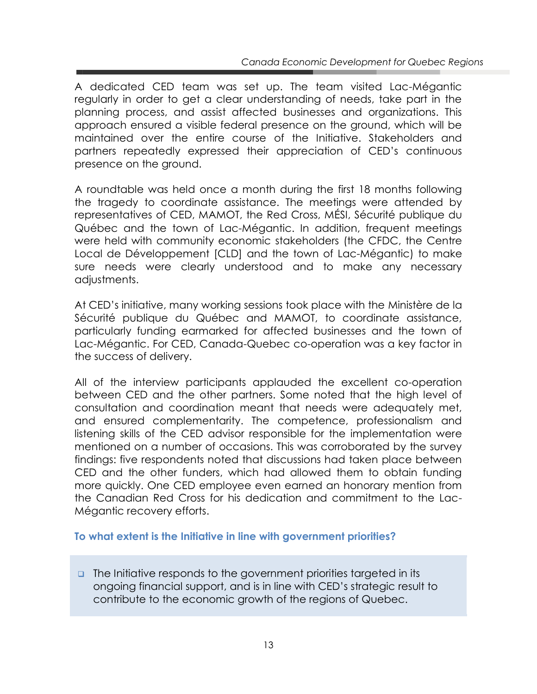A dedicated CED team was set up. The team visited Lac-Mégantic regularly in order to get a clear understanding of needs, take part in the planning process, and assist affected businesses and organizations. This approach ensured a visible federal presence on the ground, which will be maintained over the entire course of the Initiative. Stakeholders and partners repeatedly expressed their appreciation of CED's continuous presence on the ground.

A roundtable was held once a month during the first 18 months following the tragedy to coordinate assistance. The meetings were attended by representatives of CED, MAMOT, the Red Cross, MÉSI, Sécurité publique du Québec and the town of Lac-Mégantic. In addition, frequent meetings were held with community economic stakeholders (the CFDC, the Centre Local de Développement [CLD] and the town of Lac-Mégantic) to make sure needs were clearly understood and to make any necessary adjustments.

At CED's initiative, many working sessions took place with the Ministère de la Sécurité publique du Québec and MAMOT, to coordinate assistance, particularly funding earmarked for affected businesses and the town of Lac-Mégantic. For CED, Canada-Quebec co-operation was a key factor in the success of delivery.

All of the interview participants applauded the excellent co-operation between CED and the other partners. Some noted that the high level of consultation and coordination meant that needs were adequately met, and ensured complementarity. The competence, professionalism and listening skills of the CED advisor responsible for the implementation were mentioned on a number of occasions. This was corroborated by the survey findings: five respondents noted that discussions had taken place between CED and the other funders, which had allowed them to obtain funding more quickly. One CED employee even earned an honorary mention from the Canadian Red Cross for his dedication and commitment to the Lac-Mégantic recovery efforts.

#### **To what extent is the Initiative in line with government priorities?**

 $\Box$  The Initiative responds to the government priorities targeted in its ongoing financial support, and is in line with CED's strategic result to contribute to the economic growth of the regions of Quebec.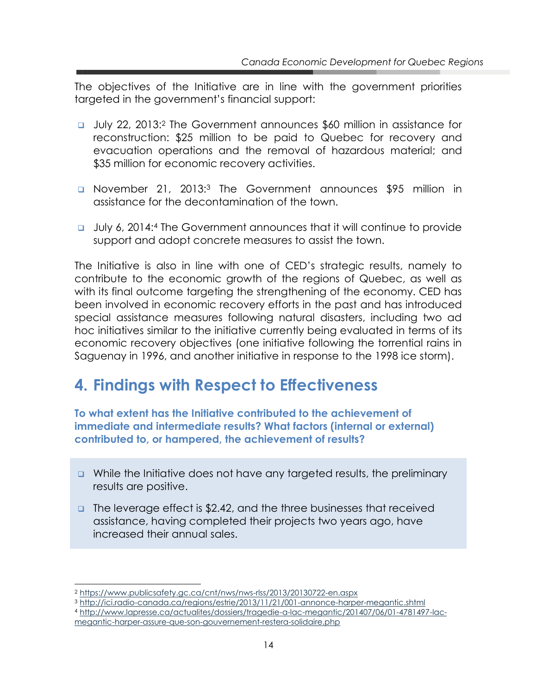The objectives of the Initiative are in line with the government priorities targeted in the government's financial support:

- July 22, 2013:<sup>2</sup> The Government announces \$60 million in assistance for reconstruction: \$25 million to be paid to Quebec for recovery and evacuation operations and the removal of hazardous material; and \$35 million for economic recovery activities.
- **Q** November 21, 2013:<sup>3</sup> The Government announces \$95 million in assistance for the decontamination of the town.
- July 6, 2014:<sup>4</sup> The Government announces that it will continue to provide support and adopt concrete measures to assist the town.

The Initiative is also in line with one of CED's strategic results, namely to contribute to the economic growth of the regions of Quebec, as well as with its final outcome targeting the strengthening of the economy. CED has been involved in economic recovery efforts in the past and has introduced special assistance measures following natural disasters, including two ad hoc initiatives similar to the initiative currently being evaluated in terms of its economic recovery objectives (one initiative following the torrential rains in Saguenay in 1996, and another initiative in response to the 1998 ice storm).

### <span id="page-18-0"></span>**4. Findings with Respect to Effectiveness**

**To what extent has the Initiative contributed to the achievement of immediate and intermediate results? What factors (internal or external) contributed to, or hampered, the achievement of results?** 

- $\Box$  While the Initiative does not have any targeted results, the preliminary results are positive.
- □ The leverage effect is \$2.42, and the three businesses that received assistance, having completed their projects two years ago, have increased their annual sales.

 $\overline{a}$ 

<sup>4</sup> [http://www.lapresse.ca/actualites/dossiers/tragedie-a-lac-megantic/201407/06/01-4781497-lac](http://www.lapresse.ca/actualites/dossiers/tragedie-a-lac-megantic/201407/06/01-4781497-lac-megantic-harper-assure-que-son-gouvernement-restera-solidaire.php)[megantic-harper-assure-que-son-gouvernement-restera-solidaire.php](http://www.lapresse.ca/actualites/dossiers/tragedie-a-lac-megantic/201407/06/01-4781497-lac-megantic-harper-assure-que-son-gouvernement-restera-solidaire.php)

<sup>2</sup> <https://www.publicsafety.gc.ca/cnt/nws/nws-rlss/2013/20130722-en.aspx>

<sup>3</sup> <http://ici.radio-canada.ca/regions/estrie/2013/11/21/001-annonce-harper-megantic.shtml>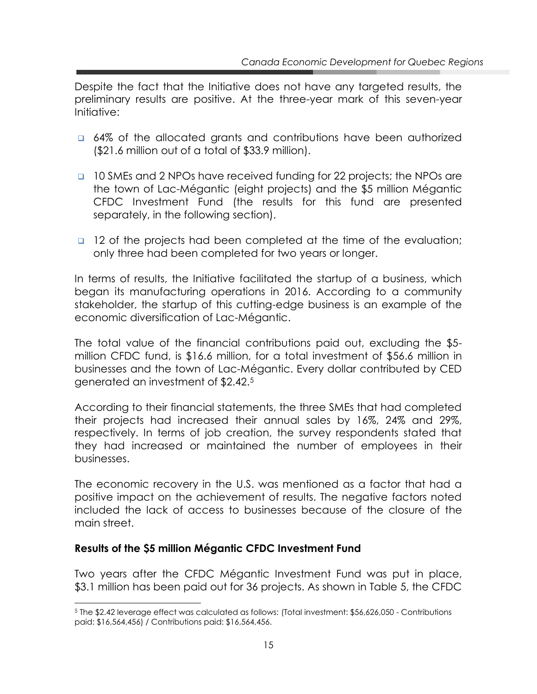Despite the fact that the Initiative does not have any targeted results, the preliminary results are positive. At the three-year mark of this seven-year Initiative:

- **a** 64% of the allocated grants and contributions have been authorized (\$21.6 million out of a total of \$33.9 million).
- **10 SMEs and 2 NPOs have received funding for 22 projects; the NPOs are** the town of Lac-Mégantic (eight projects) and the \$5 million Mégantic CFDC Investment Fund (the results for this fund are presented separately, in the following section).
- **12** of the projects had been completed at the time of the evaluation; only three had been completed for two years or longer.

In terms of results, the Initiative facilitated the startup of a business, which began its manufacturing operations in 2016. According to a community stakeholder, the startup of this cutting-edge business is an example of the economic diversification of Lac-Mégantic.

The total value of the financial contributions paid out, excluding the \$5 million CFDC fund, is \$16.6 million, for a total investment of \$56.6 million in businesses and the town of Lac-Mégantic. Every dollar contributed by CED generated an investment of \$2.42.<sup>5</sup>

According to their financial statements, the three SMEs that had completed their projects had increased their annual sales by 16%, 24% and 29%, respectively. In terms of job creation, the survey respondents stated that they had increased or maintained the number of employees in their businesses.

The economic recovery in the U.S. was mentioned as a factor that had a positive impact on the achievement of results. The negative factors noted included the lack of access to businesses because of the closure of the main street.

#### **Results of the \$5 million Mégantic CFDC Investment Fund**

 $\overline{a}$ 

Two years after the CFDC Mégantic Investment Fund was put in place, \$3.1 million has been paid out for 36 projects. As shown in Table 5, the CFDC

<sup>5</sup> The \$2.42 leverage effect was calculated as follows: (Total investment: \$56,626,050 - Contributions paid: \$16,564,456) / Contributions paid: \$16,564,456.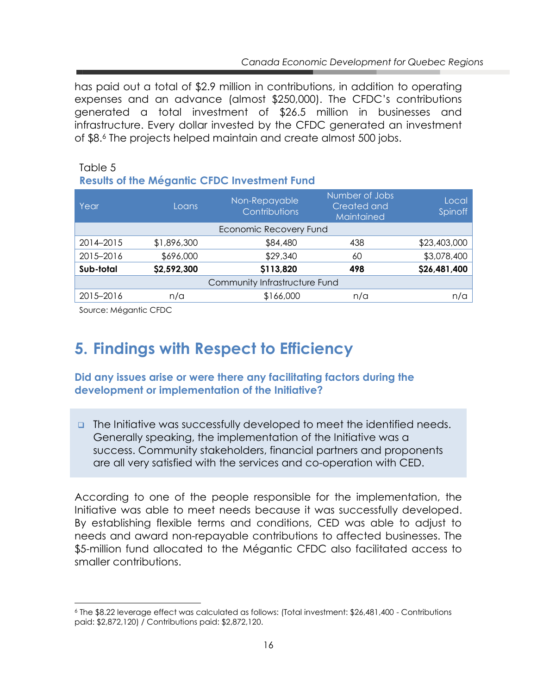has paid out a total of \$2.9 million in contributions, in addition to operating expenses and an advance (almost \$250,000). The CFDC's contributions generated a total investment of \$26.5 million in businesses and infrastructure. Every dollar invested by the CFDC generated an investment of \$8.<sup>6</sup> The projects helped maintain and create almost 500 jobs.

#### Table 5 **Results of the Mégantic CFDC Investment Fund**

| Year      | Loans       | Non-Repayable<br>Contributions | Number of Jobs<br>Created and<br>Maintained | Local<br>Spinoff |
|-----------|-------------|--------------------------------|---------------------------------------------|------------------|
|           |             | Economic Recovery Fund         |                                             |                  |
| 2014-2015 | \$1,896,300 | \$84,480                       | 438                                         | \$23,403,000     |
| 2015-2016 | \$696,000   | \$29,340                       | 60                                          | \$3,078,400      |
| Sub-total | \$2,592,300 | \$113,820                      | 498                                         | \$26,481,400     |
|           |             | Community Infrastructure Fund  |                                             |                  |
| 2015-2016 | n/a         | \$166,000                      | n/a                                         | n/a              |

Source: Mégantic CFDC

 $\overline{a}$ 

## <span id="page-20-0"></span>**5. Findings with Respect to Efficiency**

#### **Did any issues arise or were there any facilitating factors during the development or implementation of the Initiative?**

**The Initiative was successfully developed to meet the identified needs.** Generally speaking, the implementation of the Initiative was a success. Community stakeholders, financial partners and proponents are all very satisfied with the services and co-operation with CED.

According to one of the people responsible for the implementation, the Initiative was able to meet needs because it was successfully developed. By establishing flexible terms and conditions, CED was able to adjust to needs and award non-repayable contributions to affected businesses. The \$5-million fund allocated to the Mégantic CFDC also facilitated access to smaller contributions.

<sup>6</sup> The \$8.22 leverage effect was calculated as follows: (Total investment: \$26,481,400 - Contributions paid: \$2,872,120) / Contributions paid: \$2,872,120.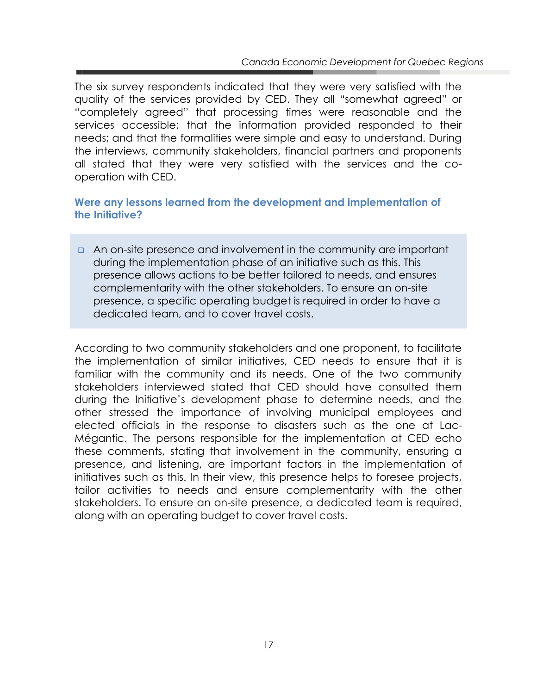The six survey respondents indicated that they were very satisfied with the quality of the services provided by CED. They all "somewhat agreed" or "completely agreed" that processing times were reasonable and the services accessible; that the information provided responded to their needs; and that the formalities were simple and easy to understand. During the interviews, community stakeholders, financial partners and proponents all stated that they were very satisfied with the services and the cooperation with CED.

#### **Were any lessons learned from the development and implementation of the Initiative?**

 An on-site presence and involvement in the community are important during the implementation phase of an initiative such as this. This presence allows actions to be better tailored to needs, and ensures complementarity with the other stakeholders. To ensure an on-site presence, a specific operating budget is required in order to have a dedicated team, and to cover travel costs.

According to two community stakeholders and one proponent, to facilitate the implementation of similar initiatives, CED needs to ensure that it is familiar with the community and its needs. One of the two community stakeholders interviewed stated that CED should have consulted them during the Initiative's development phase to determine needs, and the other stressed the importance of involving municipal employees and elected officials in the response to disasters such as the one at Lac-Mégantic. The persons responsible for the implementation at CED echo these comments, stating that involvement in the community, ensuring a presence, and listening, are important factors in the implementation of initiatives such as this. In their view, this presence helps to foresee projects, tailor activities to needs and ensure complementarity with the other stakeholders. To ensure an on-site presence, a dedicated team is required, along with an operating budget to cover travel costs.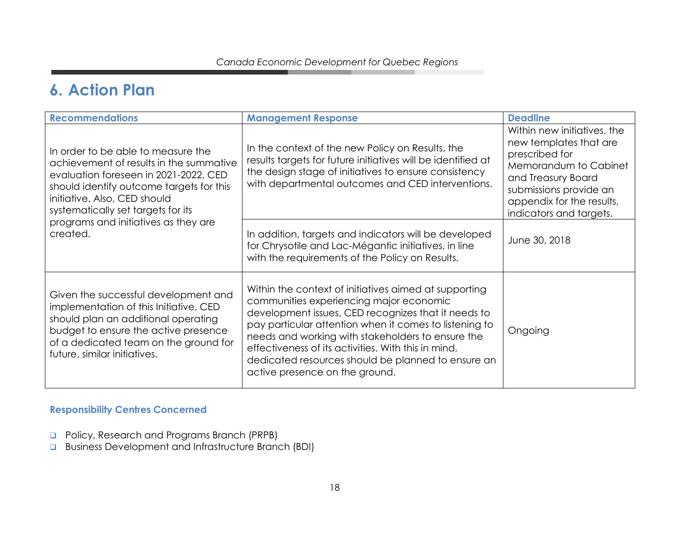### **6. Action Plan**

| <b>Recommendations</b>                                                                                                                                                                                                                   | <b>Management Response</b>                                                                                                                                                                                                                                                                                                                                                                                            | <b>Deadline</b>                                                                                                                                                                                          |
|------------------------------------------------------------------------------------------------------------------------------------------------------------------------------------------------------------------------------------------|-----------------------------------------------------------------------------------------------------------------------------------------------------------------------------------------------------------------------------------------------------------------------------------------------------------------------------------------------------------------------------------------------------------------------|----------------------------------------------------------------------------------------------------------------------------------------------------------------------------------------------------------|
| In order to be able to measure the<br>achievement of results in the summative<br>evaluation foreseen in 2021-2022, CED<br>should identify outcome targets for this<br>initiative. Also, CED should<br>systematically set targets for its | In the context of the new Policy on Results, the<br>results targets for future initiatives will be identified at<br>the design stage of initiatives to ensure consistency<br>with departmental outcomes and CED interventions.                                                                                                                                                                                        | Within new initiatives, the<br>new templates that are<br>prescribed for<br>Memorandum to Cabinet<br>and Treasury Board<br>submissions provide an<br>appendix for the results,<br>indicators and targets. |
| programs and initiatives as they are<br>created.                                                                                                                                                                                         | In addition, targets and indicators will be developed<br>for Chrysotile and Lac-Mégantic initiatives, in line<br>with the requirements of the Policy on Results.                                                                                                                                                                                                                                                      | June 30, 2018                                                                                                                                                                                            |
| Given the successful development and<br>implementation of this Initiative, CED<br>should plan an additional operating<br>budget to ensure the active presence<br>of a dedicated team on the ground for<br>future, similar initiatives.   | Within the context of initiatives aimed at supporting<br>communities experiencing major economic<br>development issues, CED recognizes that it needs to<br>pay particular attention when it comes to listening to<br>needs and working with stakeholders to ensure the<br>effectiveness of its activities. With this in mind,<br>dedicated resources should be planned to ensure an<br>active presence on the ground. | Ongoing                                                                                                                                                                                                  |

#### **Responsibility Centres Concerned**

- **Policy, Research and Programs Branch (PRPB)**
- **Business Development and Infrastructure Branch (BDI)**